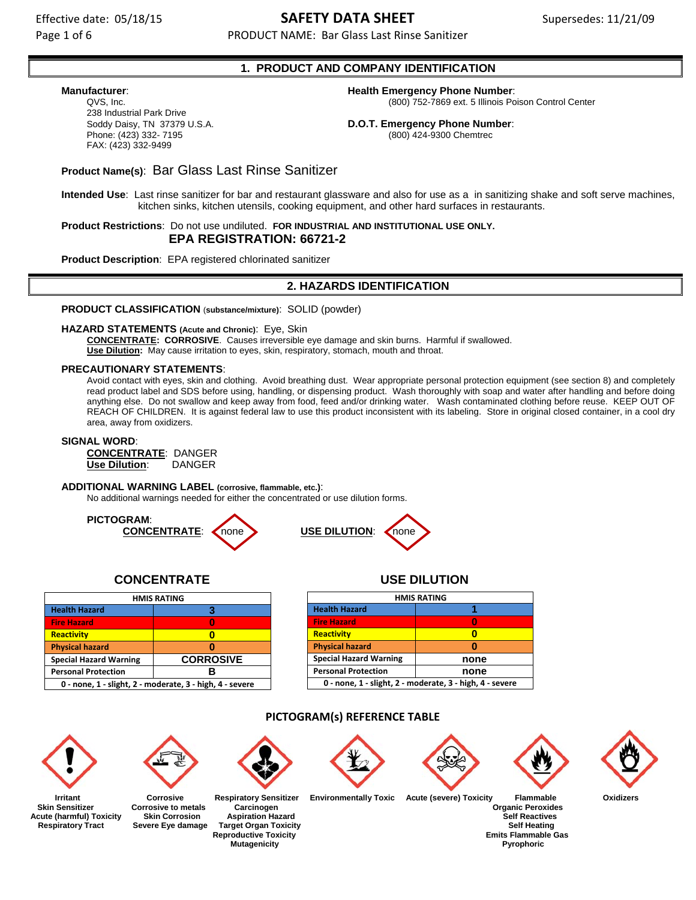Page 1 of 6 **PRODUCT NAME: Bar Glass Last Rinse Sanitizer** PRODUCT NAME: Bar Glass Last Rinse Sanitizer

# **1. PRODUCT AND COMPANY IDENTIFICATION**

238 Industrial Park Drive Soddy Daisy, TN 37379 U.S.A. **D.O.T. Emergency Phone Number**: FAX: (423) 332-9499

# **Manufacturer**: **Health Emergency Phone Number**:

QVS, Inc. (800) 752-7869 ext. 5 Illinois Poison Control Center

Phone: (423) 332- 7195 (800) 424-9300 Chemtrec

# **Product Name(s)**: Bar Glass Last Rinse Sanitizer

**Intended Use**: Last rinse sanitizer for bar and restaurant glassware and also for use as a in sanitizing shake and soft serve machines, kitchen sinks, kitchen utensils, cooking equipment, and other hard surfaces in restaurants.

**Product Restrictions**: Do not use undiluted. **FOR INDUSTRIAL AND INSTITUTIONAL USE ONLY. EPA REGISTRATION: 66721-2**

**Product Description**: EPA registered chlorinated sanitizer

# **2. HAZARDS IDENTIFICATION**

**PRODUCT CLASSIFICATION** (**substance/mixture)**: SOLID (powder)

**HAZARD STATEMENTS (Acute and Chronic)**: Eye, Skin

**CONCENTRATE: CORROSIVE**. Causes irreversible eye damage and skin burns. Harmful if swallowed. **Use Dilution:** May cause irritation to eyes, skin, respiratory, stomach, mouth and throat.

### **PRECAUTIONARY STATEMENTS**:

Avoid contact with eyes, skin and clothing. Avoid breathing dust. Wear appropriate personal protection equipment (see section 8) and completely read product label and SDS before using, handling, or dispensing product. Wash thoroughly with soap and water after handling and before doing anything else. Do not swallow and keep away from food, feed and/or drinking water. Wash contaminated clothing before reuse. KEEP OUT OF REACH OF CHILDREN. It is against federal law to use this product inconsistent with its labeling. Store in original closed container, in a cool dry area, away from oxidizers.

### **SIGNAL WORD**:

**CONCENTRATE**: DANGER **Use Dilution**: DANGER

#### **ADDITIONAL WARNING LABEL (corrosive, flammable, etc.)**:

No additional warnings needed for either the concentrated or use dilution forms.





# **CONCENTRATE USE DILUTION**

| <b>HMIS RATING</b>                                       |                  |  |  |
|----------------------------------------------------------|------------------|--|--|
| <b>Health Hazard</b>                                     |                  |  |  |
| <b>Fire Hazard</b>                                       |                  |  |  |
| Reactivity                                               |                  |  |  |
| <b>Physical hazard</b>                                   |                  |  |  |
| <b>Special Hazard Warning</b>                            | <b>CORROSIVE</b> |  |  |
| <b>Personal Protection</b>                               |                  |  |  |
| 0 - none, 1 - slight, 2 - moderate, 3 - high, 4 - severe |                  |  |  |

| <b>HMIS RATING</b>                                       |      |  |  |
|----------------------------------------------------------|------|--|--|
| <b>Health Hazard</b>                                     |      |  |  |
| <b>Fire Hazard</b>                                       |      |  |  |
| Reactivity                                               |      |  |  |
| <b>Physical hazard</b>                                   |      |  |  |
| <b>Special Hazard Warning</b><br>none                    |      |  |  |
| <b>Personal Protection</b>                               | none |  |  |
| 0 - none, 1 - slight, 2 - moderate, 3 - high, 4 - severe |      |  |  |

### **PICTOGRAM(s) REFERENCE TABLE**



Acute (harmful) Toxicity Skin Corrosion Aspiration Hazard<br>Respiratory Tract Severe Eye damage Target Organ Toxicity Self Heating



**Skin Sensitizer** Corrosive to metals Carcinogen Carcinogen Corrosides Carcinogen Corrosides Carcinogen Corrosion<br>
Cute (harmful) Toxicity Skin Corrosion Aspiration Hazard Cute Corrosides Self Reactives  **Severe Eye damage Target Organ Toxicity** 



**Mutagenicity** 



 **Irritant Corrosive Respiratory Sensitizer Environmentally Toxic Acute (severe) Toxicity Flammable Oxidizers** 





**Reproductive Toxicity Emits Flammable Gas<br>Mutagenicity Emits Flammable Gas<br>Pyrophoric**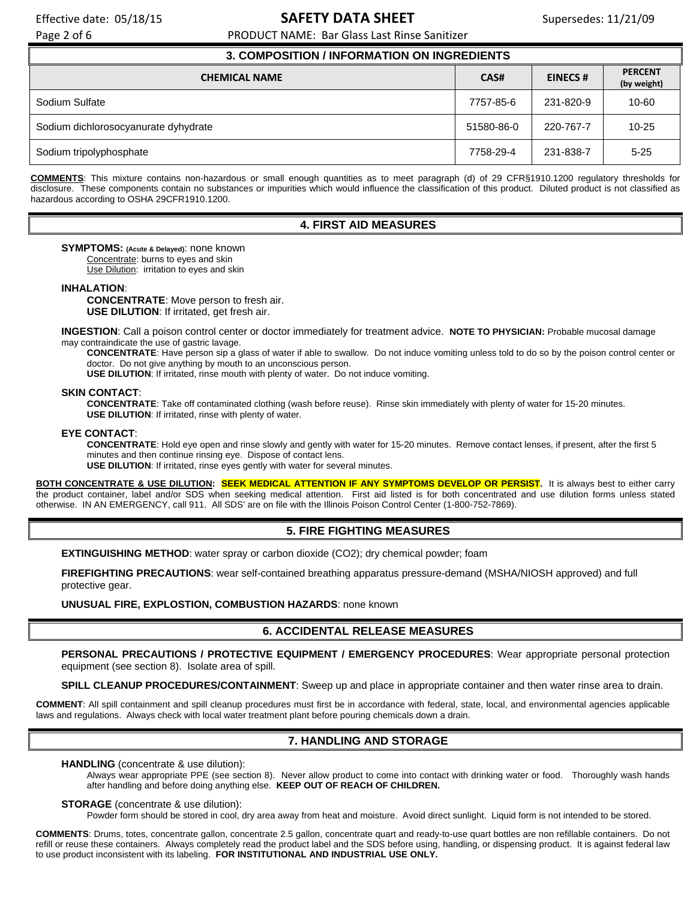Page 2 of 6 **PRODUCT NAME: Bar Glass Last Rinse Sanitizer** PRODUCT NAME: Bar Glass Last Rinse Sanitizer

| <b>3. COMPOSITION / INFORMATION ON INGREDIENTS</b> |            |                |                               |  |  |
|----------------------------------------------------|------------|----------------|-------------------------------|--|--|
| <b>CHEMICAL NAME</b>                               | CAS#       | <b>EINECS#</b> | <b>PERCENT</b><br>(by weight) |  |  |
| Sodium Sulfate                                     | 7757-85-6  | 231-820-9      | $10 - 60$                     |  |  |
| Sodium dichlorosocyanurate dyhydrate               | 51580-86-0 | 220-767-7      | $10 - 25$                     |  |  |
| Sodium tripolyphosphate                            | 7758-29-4  | 231-838-7      | $5 - 25$                      |  |  |

**COMMENTS**: This mixture contains non-hazardous or small enough quantities as to meet paragraph (d) of 29 CFR§1910.1200 regulatory thresholds for disclosure. These components contain no substances or impurities which would influence the classification of this product. Diluted product is not classified as hazardous according to OSHA 29CFR1910.1200.

### **4. FIRST AID MEASURES**

**SYMPTOMS: (Acute & Delayed)**: none known

Concentrate: burns to eyes and skin

Use Dilution: irritation to eyes and skin

**INHALATION**:

**CONCENTRATE**: Move person to fresh air. **USE DILUTION**: If irritated, get fresh air.

**INGESTION**: Call a poison control center or doctor immediately for treatment advice. **NOTE TO PHYSICIAN:** Probable mucosal damage may contraindicate the use of gastric lavage.

**CONCENTRATE**: Have person sip a glass of water if able to swallow. Do not induce vomiting unless told to do so by the poison control center or doctor. Do not give anything by mouth to an unconscious person.

**USE DILUTION:** If irritated, rinse mouth with plenty of water. Do not induce vomiting.

### **SKIN CONTACT**:

**CONCENTRATE**: Take off contaminated clothing (wash before reuse). Rinse skin immediately with plenty of water for 15-20 minutes. **USE DILUTION**: If irritated, rinse with plenty of water.

#### **EYE CONTACT**:

**CONCENTRATE**: Hold eye open and rinse slowly and gently with water for 15-20 minutes. Remove contact lenses, if present, after the first 5 minutes and then continue rinsing eye. Dispose of contact lens.

**USE DILUTION**: If irritated, rinse eyes gently with water for several minutes.

**BOTH CONCENTRATE & USE DILUTION: SEEK MEDICAL ATTENTION IF ANY SYMPTOMS DEVELOP OR PERSIST.** It is always best to either carry the product container, label and/or SDS when seeking medical attention. First aid listed is for both concentrated and use dilution forms unless stated otherwise. IN AN EMERGENCY, call 911. All SDS' are on file with the Illinois Poison Control Center (1-800-752-7869).

# **5. FIRE FIGHTING MEASURES**

**EXTINGUISHING METHOD:** water spray or carbon dioxide (CO2); dry chemical powder; foam

**FIREFIGHTING PRECAUTIONS**: wear self-contained breathing apparatus pressure-demand (MSHA/NIOSH approved) and full protective gear.

**UNUSUAL FIRE, EXPLOSTION, COMBUSTION HAZARDS**: none known

# **6. ACCIDENTAL RELEASE MEASURES**

**PERSONAL PRECAUTIONS / PROTECTIVE EQUIPMENT / EMERGENCY PROCEDURES**: Wear appropriate personal protection equipment (see section 8). Isolate area of spill.

**SPILL CLEANUP PROCEDURES/CONTAINMENT**: Sweep up and place in appropriate container and then water rinse area to drain.

**COMMENT**: All spill containment and spill cleanup procedures must first be in accordance with federal, state, local, and environmental agencies applicable laws and regulations. Always check with local water treatment plant before pouring chemicals down a drain.

# **7. HANDLING AND STORAGE**

**HANDLING** (concentrate & use dilution):

Always wear appropriate PPE (see section 8). Never allow product to come into contact with drinking water or food. Thoroughly wash hands after handling and before doing anything else. **KEEP OUT OF REACH OF CHILDREN.**

### **STORAGE** (concentrate & use dilution):

Powder form should be stored in cool, dry area away from heat and moisture. Avoid direct sunlight. Liquid form is not intended to be stored.

**COMMENTS**: Drums, totes, concentrate gallon, concentrate 2.5 gallon, concentrate quart and ready-to-use quart bottles are non refillable containers. Do not refill or reuse these containers. Always completely read the product label and the SDS before using, handling, or dispensing product. It is against federal law to use product inconsistent with its labeling. **FOR INSTITUTIONAL AND INDUSTRIAL USE ONLY.**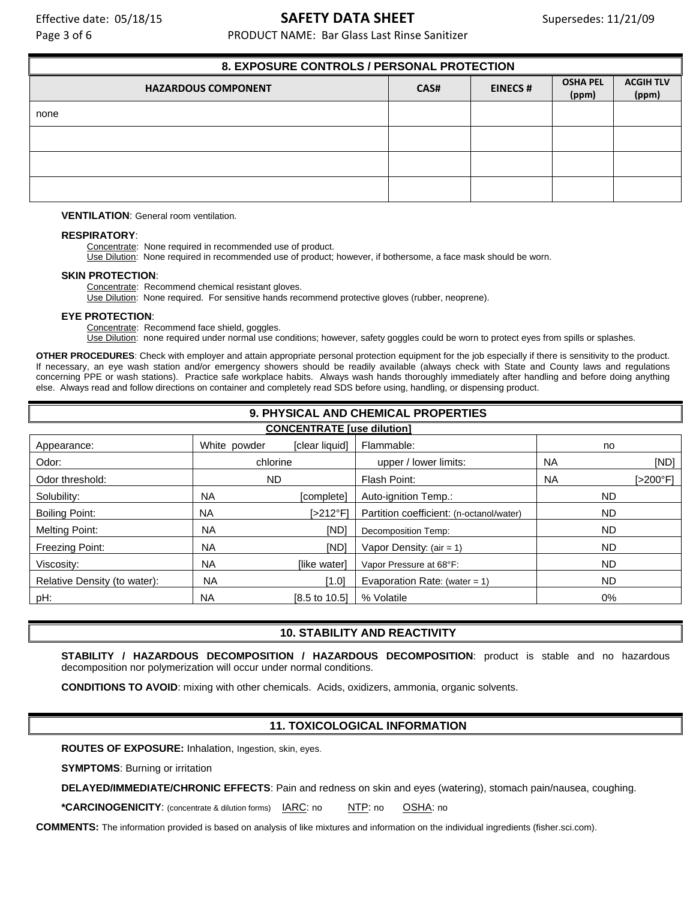Page 3 of 6 **PRODUCT NAME: Bar Glass Last Rinse Sanitizer** PRODUCT NAME: Bar Glass Last Rinse Sanitizer

| 8. EXPOSURE CONTROLS / PERSONAL PROTECTION |      |                |                          |                           |
|--------------------------------------------|------|----------------|--------------------------|---------------------------|
| <b>HAZARDOUS COMPONENT</b>                 | CAS# | <b>EINECS#</b> | <b>OSHA PEL</b><br>(ppm) | <b>ACGIH TLV</b><br>(ppm) |
| none                                       |      |                |                          |                           |
|                                            |      |                |                          |                           |
|                                            |      |                |                          |                           |
|                                            |      |                |                          |                           |

**VENTILATION**: General room ventilation.

### **RESPIRATORY**:

Concentrate: None required in recommended use of product.

Use Dilution: None required in recommended use of product; however, if bothersome, a face mask should be worn.

### **SKIN PROTECTION**:

Concentrate: Recommend chemical resistant gloves.

Use Dilution: None required. For sensitive hands recommend protective gloves (rubber, neoprene).

### **EYE PROTECTION**:

Concentrate: Recommend face shield, goggles.

Use Dilution: none required under normal use conditions; however, safety goggles could be worn to protect eyes from spills or splashes.

**OTHER PROCEDURES**: Check with employer and attain appropriate personal protection equipment for the job especially if there is sensitivity to the product. If necessary, an eye wash station and/or emergency showers should be readily available (always check with State and County laws and regulations concerning PPE or wash stations). Practice safe workplace habits. Always wash hands thoroughly immediately after handling and before doing anything else. Always read and follow directions on container and completely read SDS before using, handling, or dispensing product.

| 9. PHYSICAL AND CHEMICAL PROPERTIES |              |                     |                                          |           |          |
|-------------------------------------|--------------|---------------------|------------------------------------------|-----------|----------|
| <b>CONCENTRATE</b> [use dilution]   |              |                     |                                          |           |          |
| Appearance:                         | White powder | [clear liquid]      | Flammable:                               | no        |          |
| Odor:                               | chlorine     |                     | upper / lower limits:                    | <b>NA</b> | [ND]     |
| Odor threshold:                     | ND.          |                     | Flash Point:                             | <b>NA</b> | [>200°F] |
| Solubility:                         | NA.          | [complete]          | Auto-ignition Temp.:                     | <b>ND</b> |          |
| <b>Boiling Point:</b>               | NA.          | l>212°F1            | Partition coefficient: (n-octanol/water) | <b>ND</b> |          |
| <b>Melting Point:</b>               | <b>NA</b>    | <b>IND</b>          | Decomposition Temp:                      | <b>ND</b> |          |
| Freezing Point:                     | <b>NA</b>    | [ND]                | Vapor Density: $(air = 1)$               | <b>ND</b> |          |
| Viscosity:                          | <b>NA</b>    | <b>Ilike waterl</b> | Vapor Pressure at 68°F:                  | <b>ND</b> |          |
| Relative Density (to water):        | <b>NA</b>    | [1.0]               | Evaporation Rate: (water = 1)            | <b>ND</b> |          |
| pH:                                 | <b>NA</b>    | [8.5 to 10.5]       | % Volatile                               | $0\%$     |          |

# **10. STABILITY AND REACTIVITY**

**STABILITY / HAZARDOUS DECOMPOSITION / HAZARDOUS DECOMPOSITION**: product is stable and no hazardous decomposition nor polymerization will occur under normal conditions.

**CONDITIONS TO AVOID**: mixing with other chemicals. Acids, oxidizers, ammonia, organic solvents.

# **11. TOXICOLOGICAL INFORMATION**

**ROUTES OF EXPOSURE:** Inhalation, Ingestion, skin, eyes.

**SYMPTOMS**: Burning or irritation

**DELAYED/IMMEDIATE/CHRONIC EFFECTS**: Pain and redness on skin and eyes (watering), stomach pain/nausea, coughing.

**\*CARCINOGENICITY:** (concentrate & dilution forms)  $IARC: no$  NTP: no OSHA: no

**COMMENTS:** The information provided is based on analysis of like mixtures and information on the individual ingredients (fisher.sci.com).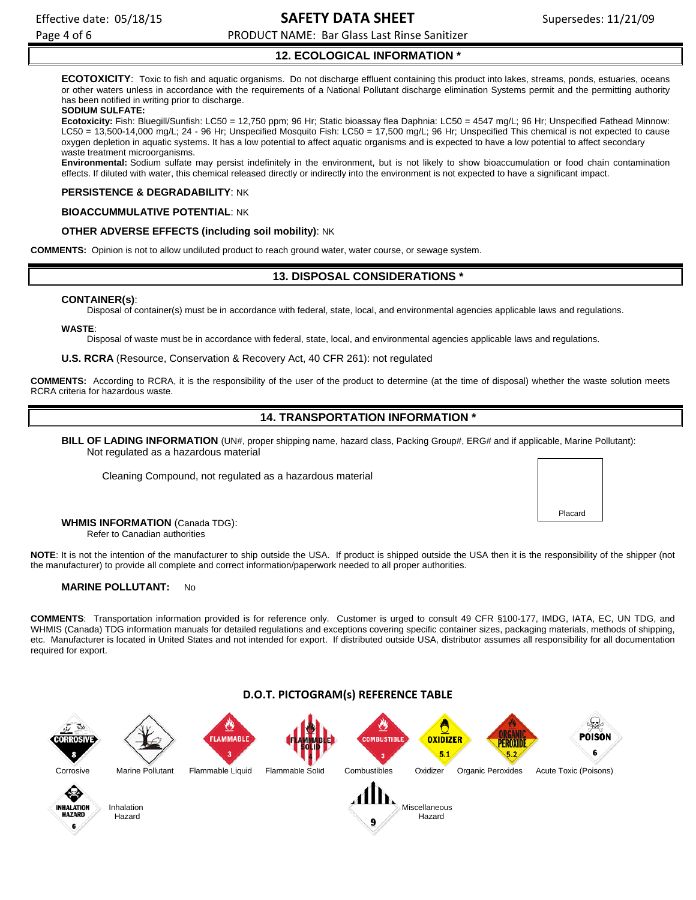Placard

Page 4 of 6 **PRODUCT NAME: Bar Glass Last Rinse Sanitizer** PRODUCT NAME: Bar Glass Last Rinse Sanitizer

# **12. ECOLOGICAL INFORMATION \***

**ECOTOXICITY**: Toxic to fish and aquatic organisms. Do not discharge effluent containing this product into lakes, streams, ponds, estuaries, oceans or other waters unless in accordance with the requirements of a National Pollutant discharge elimination Systems permit and the permitting authority has been notified in writing prior to discharge.

### **SODIUM SULFATE:**

**Ecotoxicity:** Fish: Bluegill/Sunfish: LC50 = 12,750 ppm; 96 Hr; Static bioassay flea Daphnia: LC50 = 4547 mg/L; 96 Hr; Unspecified Fathead Minnow: LC50 = 13,500-14,000 mg/L; 24 - 96 Hr; Unspecified Mosquito Fish: LC50 = 17,500 mg/L; 96 Hr; Unspecified This chemical is not expected to cause oxygen depletion in aquatic systems. It has a low potential to affect aquatic organisms and is expected to have a low potential to affect secondary waste treatment microorganisms.

**Environmental:** Sodium sulfate may persist indefinitely in the environment, but is not likely to show bioaccumulation or food chain contamination effects. If diluted with water, this chemical released directly or indirectly into the environment is not expected to have a significant impact.

### **PERSISTENCE & DEGRADABILITY**: NK

### **BIOACCUMMULATIVE POTENTIAL**: NK

### **OTHER ADVERSE EFFECTS (including soil mobility)**: NK

**COMMENTS:** Opinion is not to allow undiluted product to reach ground water, water course, or sewage system.

# **13. DISPOSAL CONSIDERATIONS \***

### **CONTAINER(s)**:

Disposal of container(s) must be in accordance with federal, state, local, and environmental agencies applicable laws and regulations.

### **WASTE**:

Disposal of waste must be in accordance with federal, state, local, and environmental agencies applicable laws and regulations.

**U.S. RCRA** (Resource, Conservation & Recovery Act, 40 CFR 261): not regulated

**COMMENTS:** According to RCRA, it is the responsibility of the user of the product to determine (at the time of disposal) whether the waste solution meets RCRA criteria for hazardous waste.

# **14. TRANSPORTATION INFORMATION \***

**BILL OF LADING INFORMATION** (UN#, proper shipping name, hazard class, Packing Group#, ERG# and if applicable, Marine Pollutant): Not regulated as a hazardous material

Cleaning Compound, not regulated as a hazardous material

**WHMIS INFORMATION** (Canada TDG): Refer to Canadian authorities

**NOTE**: It is not the intention of the manufacturer to ship outside the USA. If product is shipped outside the USA then it is the responsibility of the shipper (not the manufacturer) to provide all complete and correct information/paperwork needed to all proper authorities.

### **MARINE POLLUTANT:** No

**COMMENTS**: Transportation information provided is for reference only. Customer is urged to consult 49 CFR §100-177, IMDG, IATA, EC, UN TDG, and WHMIS (Canada) TDG information manuals for detailed regulations and exceptions covering specific container sizes, packaging materials, methods of shipping, etc. Manufacturer is located in United States and not intended for export. If distributed outside USA, distributor assumes all responsibility for all documentation required for export.

# **D.O.T. PICTOGRAM(s) REFERENCE TABLE**

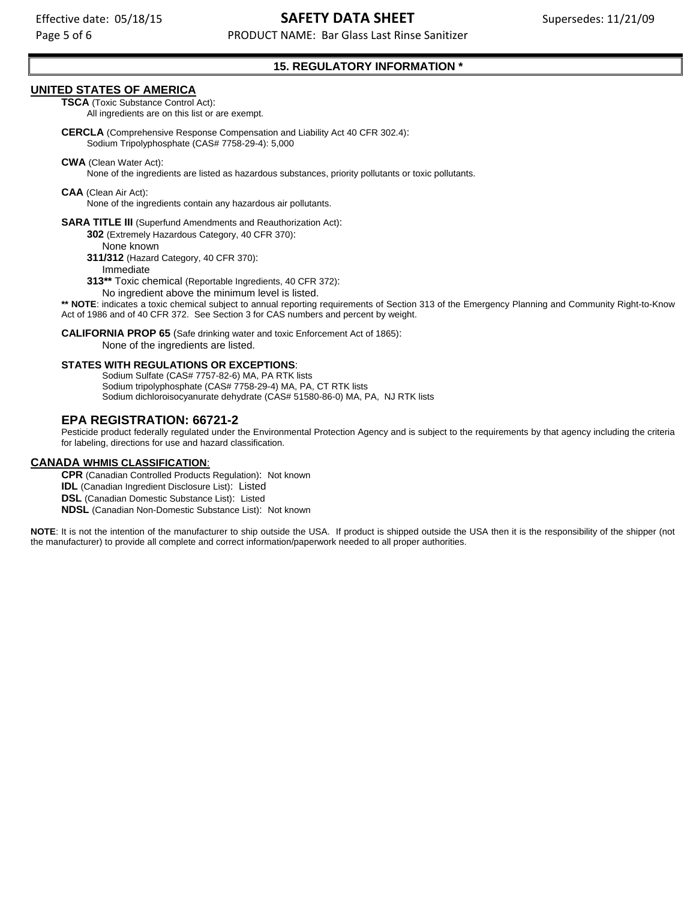Page 5 of 6 **PRODUCT NAME: Bar Glass Last Rinse Sanitizer** PRODUCT NAME: Bar Glass Last Rinse Sanitizer

# **15. REGULATORY INFORMATION \***

### **UNITED STATES OF AMERICA**

**TSCA** (Toxic Substance Control Act):

All ingredients are on this list or are exempt.

**CERCLA** (Comprehensive Response Compensation and Liability Act 40 CFR 302.4): Sodium Tripolyphosphate (CAS# 7758-29-4): 5,000

**CWA** (Clean Water Act):

None of the ingredients are listed as hazardous substances, priority pollutants or toxic pollutants.

**CAA** (Clean Air Act):

None of the ingredients contain any hazardous air pollutants.

**SARA TITLE III** (Superfund Amendments and Reauthorization Act):

**302** (Extremely Hazardous Category, 40 CFR 370):

None known

**311/312** (Hazard Category, 40 CFR 370):

Immediate

**313\*\*** Toxic chemical (Reportable Ingredients, 40 CFR 372):

No ingredient above the minimum level is listed.

\*\* NOTE: indicates a toxic chemical subject to annual reporting requirements of Section 313 of the Emergency Planning and Community Right-to-Know Act of 1986 and of 40 CFR 372. See Section 3 for CAS numbers and percent by weight.

**CALIFORNIA PROP 65** (Safe drinking water and toxic Enforcement Act of 1865): None of the ingredients are listed.

### **STATES WITH REGULATIONS OR EXCEPTIONS**:

Sodium Sulfate (CAS# 7757-82-6) MA, PA RTK lists Sodium tripolyphosphate (CAS# 7758-29-4) MA, PA, CT RTK lists Sodium dichloroisocyanurate dehydrate (CAS# 51580-86-0) MA, PA, NJ RTK lists

# **EPA REGISTRATION: 66721-2**

Pesticide product federally regulated under the Environmental Protection Agency and is subject to the requirements by that agency including the criteria for labeling, directions for use and hazard classification.

### **CANADA WHMIS CLASSIFICATION**:

**CPR** (Canadian Controlled Products Regulation): Not known **IDL** (Canadian Ingredient Disclosure List): Listed **DSL** (Canadian Domestic Substance List): Listed **NDSL** (Canadian Non-Domestic Substance List): Not known

**NOTE**: It is not the intention of the manufacturer to ship outside the USA. If product is shipped outside the USA then it is the responsibility of the shipper (not the manufacturer) to provide all complete and correct information/paperwork needed to all proper authorities.